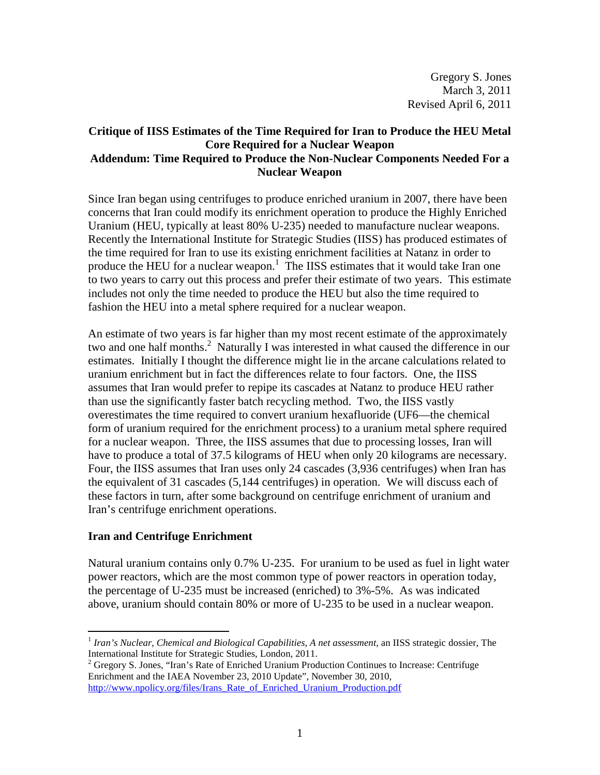## **Critique of IISS Estimates of the Time Required for Iran to Produce the HEU Metal Core Required for a Nuclear Weapon Addendum: Time Required to Produce the Non-Nuclear Components Needed For a Nuclear Weapon**

Since Iran began using centrifuges to produce enriched uranium in 2007, there have been concerns that Iran could modify its enrichment operation to produce the Highly Enriched Uranium (HEU, typically at least 80% U-235) needed to manufacture nuclear weapons. Recently the International Institute for Strategic Studies (IISS) has produced estimates of the time required for Iran to use its existing enrichment facilities at Natanz in order to produce the HEU for a nuclear weapon.<sup>1</sup> The IISS estimates that it would take Iran one to two years to carry out this process and prefer their estimate of two years. This estimate includes not only the time needed to produce the HEU but also the time required to fashion the HEU into a metal sphere required for a nuclear weapon.

An estimate of two years is far higher than my most recent estimate of the approximately two and one half months.<sup>2</sup> Naturally I was interested in what caused the difference in our estimates. Initially I thought the difference might lie in the arcane calculations related to uranium enrichment but in fact the differences relate to four factors. One, the IISS assumes that Iran would prefer to repipe its cascades at Natanz to produce HEU rather than use the significantly faster batch recycling method. Two, the IISS vastly overestimates the time required to convert uranium hexafluoride (UF6—the chemical form of uranium required for the enrichment process) to a uranium metal sphere required for a nuclear weapon. Three, the IISS assumes that due to processing losses, Iran will have to produce a total of 37.5 kilograms of HEU when only 20 kilograms are necessary. Four, the IISS assumes that Iran uses only 24 cascades (3,936 centrifuges) when Iran has the equivalent of 31 cascades (5,144 centrifuges) in operation. We will discuss each of these factors in turn, after some background on centrifuge enrichment of uranium and Iran's centrifuge enrichment operations.

# **Iran and Centrifuge Enrichment**

Natural uranium contains only 0.7% U-235. For uranium to be used as fuel in light water power reactors, which are the most common type of power reactors in operation today, the percentage of U-235 must be increased (enriched) to 3%-5%. As was indicated above, uranium should contain 80% or more of U-235 to be used in a nuclear weapon.

<sup>-</sup><sup>1</sup> Iran's Nuclear, Chemical and Biological Capabilities, A net assessment, an IISS strategic dossier, The International Institute for Strategic Studies, London, 2011.

<sup>&</sup>lt;sup>2</sup> Gregory S. Jones, "Iran's Rate of Enriched Uranium Production Continues to Increase: Centrifuge Enrichment and the IAEA November 23, 2010 Update", November 30, 2010, http://www.npolicy.org/files/Irans\_Rate\_of\_Enriched\_Uranium\_Production.pdf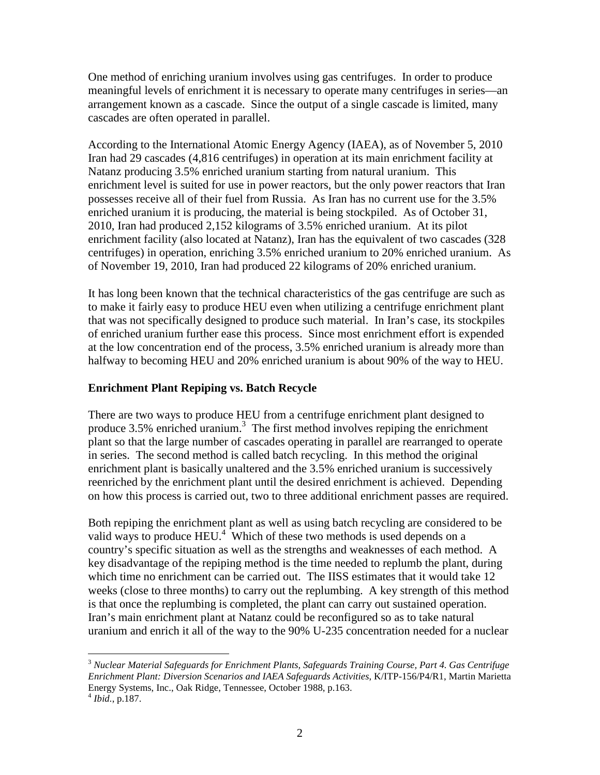One method of enriching uranium involves using gas centrifuges. In order to produce meaningful levels of enrichment it is necessary to operate many centrifuges in series—an arrangement known as a cascade. Since the output of a single cascade is limited, many cascades are often operated in parallel.

According to the International Atomic Energy Agency (IAEA), as of November 5, 2010 Iran had 29 cascades (4,816 centrifuges) in operation at its main enrichment facility at Natanz producing 3.5% enriched uranium starting from natural uranium. This enrichment level is suited for use in power reactors, but the only power reactors that Iran possesses receive all of their fuel from Russia. As Iran has no current use for the 3.5% enriched uranium it is producing, the material is being stockpiled. As of October 31, 2010, Iran had produced 2,152 kilograms of 3.5% enriched uranium. At its pilot enrichment facility (also located at Natanz), Iran has the equivalent of two cascades (328 centrifuges) in operation, enriching 3.5% enriched uranium to 20% enriched uranium. As of November 19, 2010, Iran had produced 22 kilograms of 20% enriched uranium.

It has long been known that the technical characteristics of the gas centrifuge are such as to make it fairly easy to produce HEU even when utilizing a centrifuge enrichment plant that was not specifically designed to produce such material. In Iran's case, its stockpiles of enriched uranium further ease this process. Since most enrichment effort is expended at the low concentration end of the process, 3.5% enriched uranium is already more than halfway to becoming HEU and 20% enriched uranium is about 90% of the way to HEU.

# **Enrichment Plant Repiping vs. Batch Recycle**

There are two ways to produce HEU from a centrifuge enrichment plant designed to produce  $3.5\%$  enriched uranium.<sup>3</sup> The first method involves repiping the enrichment plant so that the large number of cascades operating in parallel are rearranged to operate in series. The second method is called batch recycling. In this method the original enrichment plant is basically unaltered and the 3.5% enriched uranium is successively reenriched by the enrichment plant until the desired enrichment is achieved. Depending on how this process is carried out, two to three additional enrichment passes are required.

Both repiping the enrichment plant as well as using batch recycling are considered to be valid ways to produce  $\text{HEU}^{4}$ . Which of these two methods is used depends on a country's specific situation as well as the strengths and weaknesses of each method. A key disadvantage of the repiping method is the time needed to replumb the plant, during which time no enrichment can be carried out. The IISS estimates that it would take 12 weeks (close to three months) to carry out the replumbing. A key strength of this method is that once the replumbing is completed, the plant can carry out sustained operation. Iran's main enrichment plant at Natanz could be reconfigured so as to take natural uranium and enrich it all of the way to the 90% U-235 concentration needed for a nuclear

<u>.</u> <sup>3</sup> *Nuclear Material Safeguards for Enrichment Plants, Safeguards Training Course, Part 4. Gas Centrifuge Enrichment Plant: Diversion Scenarios and IAEA Safeguards Activities*, K/ITP-156/P4/R1, Martin Marietta Energy Systems, Inc., Oak Ridge, Tennessee, October 1988, p.163.

<sup>4</sup> *Ibid.*, p.187.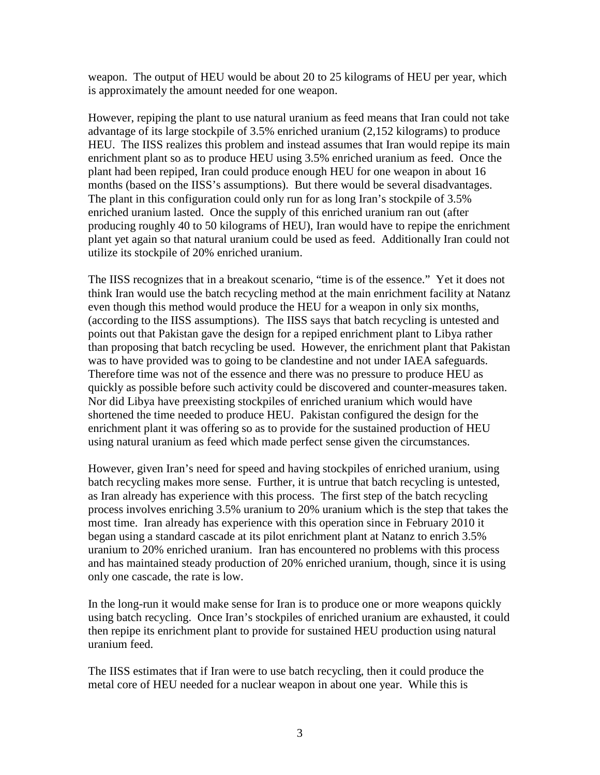weapon. The output of HEU would be about 20 to 25 kilograms of HEU per year, which is approximately the amount needed for one weapon.

However, repiping the plant to use natural uranium as feed means that Iran could not take advantage of its large stockpile of 3.5% enriched uranium (2,152 kilograms) to produce HEU. The IISS realizes this problem and instead assumes that Iran would repipe its main enrichment plant so as to produce HEU using 3.5% enriched uranium as feed. Once the plant had been repiped, Iran could produce enough HEU for one weapon in about 16 months (based on the IISS's assumptions). But there would be several disadvantages. The plant in this configuration could only run for as long Iran's stockpile of 3.5% enriched uranium lasted. Once the supply of this enriched uranium ran out (after producing roughly 40 to 50 kilograms of HEU), Iran would have to repipe the enrichment plant yet again so that natural uranium could be used as feed. Additionally Iran could not utilize its stockpile of 20% enriched uranium.

The IISS recognizes that in a breakout scenario, "time is of the essence." Yet it does not think Iran would use the batch recycling method at the main enrichment facility at Natanz even though this method would produce the HEU for a weapon in only six months, (according to the IISS assumptions). The IISS says that batch recycling is untested and points out that Pakistan gave the design for a repiped enrichment plant to Libya rather than proposing that batch recycling be used. However, the enrichment plant that Pakistan was to have provided was to going to be clandestine and not under IAEA safeguards. Therefore time was not of the essence and there was no pressure to produce HEU as quickly as possible before such activity could be discovered and counter-measures taken. Nor did Libya have preexisting stockpiles of enriched uranium which would have shortened the time needed to produce HEU. Pakistan configured the design for the enrichment plant it was offering so as to provide for the sustained production of HEU using natural uranium as feed which made perfect sense given the circumstances.

However, given Iran's need for speed and having stockpiles of enriched uranium, using batch recycling makes more sense. Further, it is untrue that batch recycling is untested, as Iran already has experience with this process. The first step of the batch recycling process involves enriching 3.5% uranium to 20% uranium which is the step that takes the most time. Iran already has experience with this operation since in February 2010 it began using a standard cascade at its pilot enrichment plant at Natanz to enrich 3.5% uranium to 20% enriched uranium. Iran has encountered no problems with this process and has maintained steady production of 20% enriched uranium, though, since it is using only one cascade, the rate is low.

In the long-run it would make sense for Iran is to produce one or more weapons quickly using batch recycling. Once Iran's stockpiles of enriched uranium are exhausted, it could then repipe its enrichment plant to provide for sustained HEU production using natural uranium feed.

The IISS estimates that if Iran were to use batch recycling, then it could produce the metal core of HEU needed for a nuclear weapon in about one year. While this is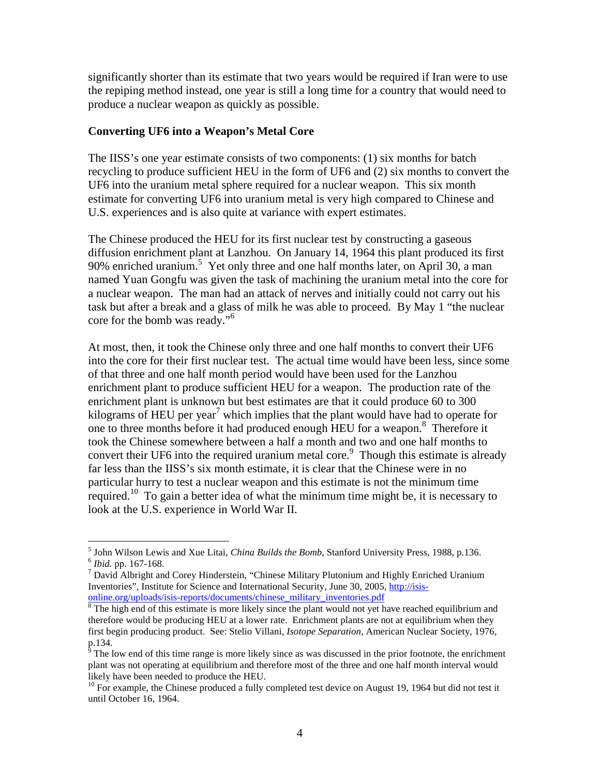significantly shorter than its estimate that two years would be required if Iran were to use the repiping method instead, one year is still a long time for a country that would need to produce a nuclear weapon as quickly as possible.

#### **Converting UF6 into a Weapon's Metal Core**

The IISS's one year estimate consists of two components: (1) six months for batch recycling to produce sufficient HEU in the form of UF6 and (2) six months to convert the UF6 into the uranium metal sphere required for a nuclear weapon. This six month estimate for converting UF6 into uranium metal is very high compared to Chinese and U.S. experiences and is also quite at variance with expert estimates.

The Chinese produced the HEU for its first nuclear test by constructing a gaseous diffusion enrichment plant at Lanzhou. On January 14, 1964 this plant produced its first 90% enriched uranium.<sup>5</sup> Yet only three and one half months later, on April 30, a man named Yuan Gongfu was given the task of machining the uranium metal into the core for a nuclear weapon. The man had an attack of nerves and initially could not carry out his task but after a break and a glass of milk he was able to proceed. By May 1 "the nuclear core for the bomb was ready."<sup>6</sup>

At most, then, it took the Chinese only three and one half months to convert their UF6 into the core for their first nuclear test. The actual time would have been less, since some of that three and one half month period would have been used for the Lanzhou enrichment plant to produce sufficient HEU for a weapon. The production rate of the enrichment plant is unknown but best estimates are that it could produce 60 to 300 kilograms of HEU per year<sup>7</sup> which implies that the plant would have had to operate for one to three months before it had produced enough HEU for a weapon.<sup>8</sup> Therefore it took the Chinese somewhere between a half a month and two and one half months to convert their UF6 into the required uranium metal core.<sup>9</sup> Though this estimate is already far less than the IISS's six month estimate, it is clear that the Chinese were in no particular hurry to test a nuclear weapon and this estimate is not the minimum time required.<sup>10</sup> To gain a better idea of what the minimum time might be, it is necessary to look at the U.S. experience in World War II.

 5 John Wilson Lewis and Xue Litai, *China Builds the Bomb*, Stanford University Press, 1988, p.136. 6 *Ibid.* pp. 167-168.

<sup>&</sup>lt;sup>7</sup> David Albright and Corey Hinderstein, "Chinese Military Plutonium and Highly Enriched Uranium Inventories", Institute for Science and International Security, June 30, 2005, http://isisonline.org/uploads/isis-reports/documents/chinese\_military\_inventories.pdf

<sup>&</sup>lt;sup>8</sup> The high end of this estimate is more likely since the plant would not yet have reached equilibrium and therefore would be producing HEU at a lower rate. Enrichment plants are not at equilibrium when they first begin producing product. See: Stelio Villani, *Isotope Separation*, American Nuclear Society, 1976, p.134.

 $\frac{1}{9}$  The low end of this time range is more likely since as was discussed in the prior footnote, the enrichment plant was not operating at equilibrium and therefore most of the three and one half month interval would likely have been needed to produce the HEU.

 $10$  For example, the Chinese produced a fully completed test device on August 19, 1964 but did not test it until October 16, 1964.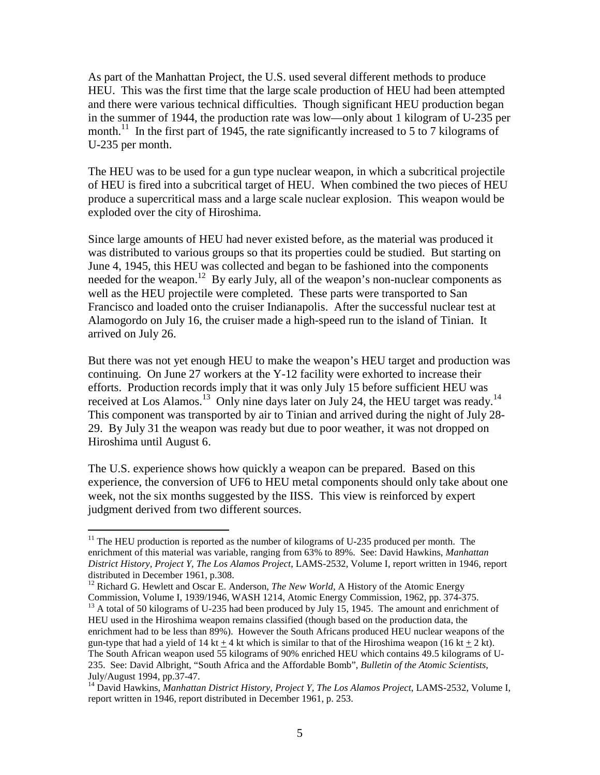As part of the Manhattan Project, the U.S. used several different methods to produce HEU. This was the first time that the large scale production of HEU had been attempted and there were various technical difficulties. Though significant HEU production began in the summer of 1944, the production rate was low—only about 1 kilogram of U-235 per month.<sup>11</sup> In the first part of 1945, the rate significantly increased to 5 to 7 kilograms of U-235 per month.

The HEU was to be used for a gun type nuclear weapon, in which a subcritical projectile of HEU is fired into a subcritical target of HEU. When combined the two pieces of HEU produce a supercritical mass and a large scale nuclear explosion. This weapon would be exploded over the city of Hiroshima.

Since large amounts of HEU had never existed before, as the material was produced it was distributed to various groups so that its properties could be studied. But starting on June 4, 1945, this HEU was collected and began to be fashioned into the components needed for the weapon.<sup>12</sup> By early July, all of the weapon's non-nuclear components as well as the HEU projectile were completed. These parts were transported to San Francisco and loaded onto the cruiser Indianapolis. After the successful nuclear test at Alamogordo on July 16, the cruiser made a high-speed run to the island of Tinian. It arrived on July 26.

But there was not yet enough HEU to make the weapon's HEU target and production was continuing. On June 27 workers at the Y-12 facility were exhorted to increase their efforts. Production records imply that it was only July 15 before sufficient HEU was received at Los Alamos.<sup>13</sup> Only nine days later on July 24, the HEU target was ready.<sup>14</sup> This component was transported by air to Tinian and arrived during the night of July 28- 29. By July 31 the weapon was ready but due to poor weather, it was not dropped on Hiroshima until August 6.

The U.S. experience shows how quickly a weapon can be prepared. Based on this experience, the conversion of UF6 to HEU metal components should only take about one week, not the six months suggested by the IISS. This view is reinforced by expert judgment derived from two different sources.

 $\overline{a}$ 

 $11$  The HEU production is reported as the number of kilograms of U-235 produced per month. The enrichment of this material was variable, ranging from 63% to 89%. See: David Hawkins, *Manhattan District History, Project Y, The Los Alamos Project*, LAMS-2532, Volume I, report written in 1946, report distributed in December 1961, p.308.

<sup>&</sup>lt;sup>12</sup> Richard G. Hewlett and Oscar E. Anderson, *The New World*, A History of the Atomic Energy Commission, Volume I, 1939/1946, WASH 1214, Atomic Energy Commission, 1962, pp. 374-375.

<sup>&</sup>lt;sup>13</sup> A total of 50 kilograms of U-235 had been produced by July 15, 1945. The amount and enrichment of HEU used in the Hiroshima weapon remains classified (though based on the production data, the enrichment had to be less than 89%). However the South Africans produced HEU nuclear weapons of the gun-type that had a yield of 14 kt + 4 kt which is similar to that of the Hiroshima weapon (16 kt + 2 kt). The South African weapon used 55 kilograms of 90% enriched HEU which contains 49.5 kilograms of U-235. See: David Albright, "South Africa and the Affordable Bomb", *Bulletin of the Atomic Scientists*, July/August 1994, pp.37-47.

<sup>&</sup>lt;sup>14</sup> David Hawkins, *Manhattan District History, Project Y, The Los Alamos Project*, LAMS-2532, Volume I, report written in 1946, report distributed in December 1961, p. 253.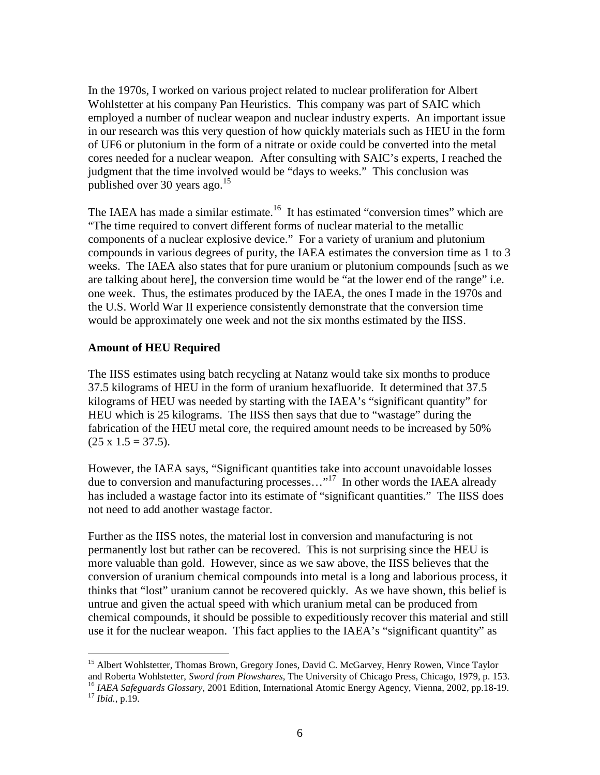In the 1970s, I worked on various project related to nuclear proliferation for Albert Wohlstetter at his company Pan Heuristics. This company was part of SAIC which employed a number of nuclear weapon and nuclear industry experts. An important issue in our research was this very question of how quickly materials such as HEU in the form of UF6 or plutonium in the form of a nitrate or oxide could be converted into the metal cores needed for a nuclear weapon. After consulting with SAIC's experts, I reached the judgment that the time involved would be "days to weeks." This conclusion was published over 30 years ago.<sup>15</sup>

The IAEA has made a similar estimate.<sup>16</sup> It has estimated "conversion times" which are "The time required to convert different forms of nuclear material to the metallic components of a nuclear explosive device." For a variety of uranium and plutonium compounds in various degrees of purity, the IAEA estimates the conversion time as 1 to 3 weeks. The IAEA also states that for pure uranium or plutonium compounds [such as we are talking about here], the conversion time would be "at the lower end of the range" i.e. one week. Thus, the estimates produced by the IAEA, the ones I made in the 1970s and the U.S. World War II experience consistently demonstrate that the conversion time would be approximately one week and not the six months estimated by the IISS.

## **Amount of HEU Required**

The IISS estimates using batch recycling at Natanz would take six months to produce 37.5 kilograms of HEU in the form of uranium hexafluoride. It determined that 37.5 kilograms of HEU was needed by starting with the IAEA's "significant quantity" for HEU which is 25 kilograms. The IISS then says that due to "wastage" during the fabrication of the HEU metal core, the required amount needs to be increased by 50%  $(25 \times 1.5 = 37.5).$ 

However, the IAEA says, "Significant quantities take into account unavoidable losses due to conversion and manufacturing processes..."<sup>17</sup> In other words the IAEA already has included a wastage factor into its estimate of "significant quantities." The IISS does not need to add another wastage factor.

Further as the IISS notes, the material lost in conversion and manufacturing is not permanently lost but rather can be recovered. This is not surprising since the HEU is more valuable than gold. However, since as we saw above, the IISS believes that the conversion of uranium chemical compounds into metal is a long and laborious process, it thinks that "lost" uranium cannot be recovered quickly. As we have shown, this belief is untrue and given the actual speed with which uranium metal can be produced from chemical compounds, it should be possible to expeditiously recover this material and still use it for the nuclear weapon. This fact applies to the IAEA's "significant quantity" as

 $\overline{a}$ <sup>15</sup> Albert Wohlstetter, Thomas Brown, Gregory Jones, David C. McGarvey, Henry Rowen, Vince Taylor and Roberta Wohlstetter, *Sword from Plowshares*, The University of Chicago Press, Chicago, 1979, p. 153. <sup>16</sup> IAEA Safeguards Glossary, 2001 Edition, International Atomic Energy Agency, Vienna, 2002, pp.18-19. <sup>17</sup> *Ibid.*, p.19.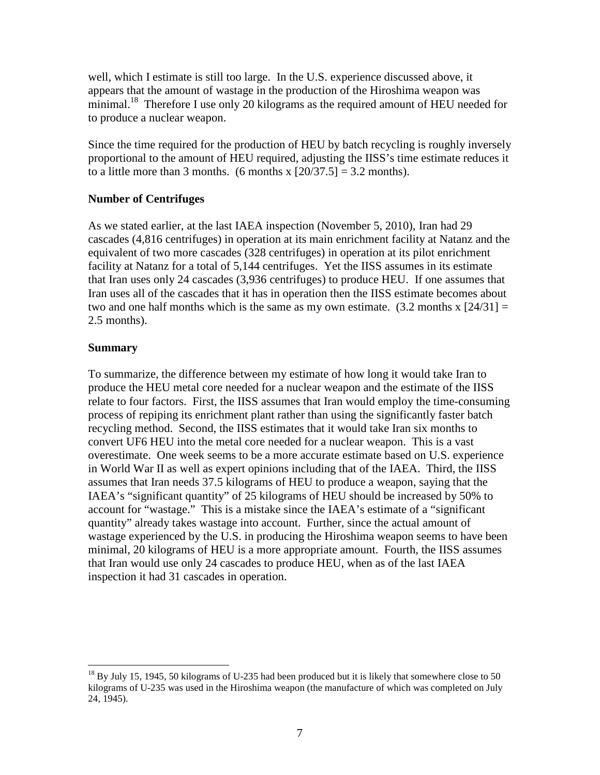well, which I estimate is still too large. In the U.S. experience discussed above, it appears that the amount of wastage in the production of the Hiroshima weapon was minimal.<sup>18</sup> Therefore I use only 20 kilograms as the required amount of HEU needed for to produce a nuclear weapon.

Since the time required for the production of HEU by batch recycling is roughly inversely proportional to the amount of HEU required, adjusting the IISS's time estimate reduces it to a little more than 3 months. (6 months x  $[20/37.5] = 3.2$  months).

## **Number of Centrifuges**

As we stated earlier, at the last IAEA inspection (November 5, 2010), Iran had 29 cascades (4,816 centrifuges) in operation at its main enrichment facility at Natanz and the equivalent of two more cascades (328 centrifuges) in operation at its pilot enrichment facility at Natanz for a total of 5,144 centrifuges. Yet the IISS assumes in its estimate that Iran uses only 24 cascades (3,936 centrifuges) to produce HEU. If one assumes that Iran uses all of the cascades that it has in operation then the IISS estimate becomes about two and one half months which is the same as my own estimate.  $(3.2 \text{ months} \times [24/31] =$ 2.5 months).

#### **Summary**

<u>.</u>

To summarize, the difference between my estimate of how long it would take Iran to produce the HEU metal core needed for a nuclear weapon and the estimate of the IISS relate to four factors. First, the IISS assumes that Iran would employ the time-consuming process of repiping its enrichment plant rather than using the significantly faster batch recycling method. Second, the IISS estimates that it would take Iran six months to convert UF6 HEU into the metal core needed for a nuclear weapon. This is a vast overestimate. One week seems to be a more accurate estimate based on U.S. experience in World War II as well as expert opinions including that of the IAEA. Third, the IISS assumes that Iran needs 37.5 kilograms of HEU to produce a weapon, saying that the IAEA's "significant quantity" of 25 kilograms of HEU should be increased by 50% to account for "wastage." This is a mistake since the IAEA's estimate of a "significant quantity" already takes wastage into account. Further, since the actual amount of wastage experienced by the U.S. in producing the Hiroshima weapon seems to have been minimal, 20 kilograms of HEU is a more appropriate amount. Fourth, the IISS assumes that Iran would use only 24 cascades to produce HEU, when as of the last IAEA inspection it had 31 cascades in operation.

 $^{18}$  By July 15, 1945, 50 kilograms of U-235 had been produced but it is likely that somewhere close to 50 kilograms of U-235 was used in the Hiroshima weapon (the manufacture of which was completed on July 24, 1945).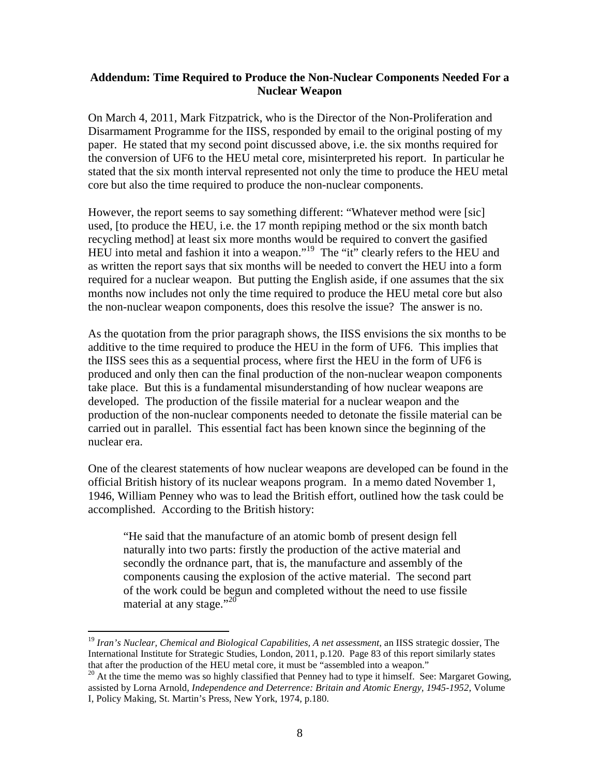#### **Addendum: Time Required to Produce the Non-Nuclear Components Needed For a Nuclear Weapon**

On March 4, 2011, Mark Fitzpatrick, who is the Director of the Non-Proliferation and Disarmament Programme for the IISS, responded by email to the original posting of my paper. He stated that my second point discussed above, i.e. the six months required for the conversion of UF6 to the HEU metal core, misinterpreted his report. In particular he stated that the six month interval represented not only the time to produce the HEU metal core but also the time required to produce the non-nuclear components.

However, the report seems to say something different: "Whatever method were [sic] used, [to produce the HEU, i.e. the 17 month repiping method or the six month batch recycling method] at least six more months would be required to convert the gasified HEU into metal and fashion it into a weapon."<sup>19</sup> The "it" clearly refers to the HEU and as written the report says that six months will be needed to convert the HEU into a form required for a nuclear weapon. But putting the English aside, if one assumes that the six months now includes not only the time required to produce the HEU metal core but also the non-nuclear weapon components, does this resolve the issue? The answer is no.

As the quotation from the prior paragraph shows, the IISS envisions the six months to be additive to the time required to produce the HEU in the form of UF6. This implies that the IISS sees this as a sequential process, where first the HEU in the form of UF6 is produced and only then can the final production of the non-nuclear weapon components take place. But this is a fundamental misunderstanding of how nuclear weapons are developed. The production of the fissile material for a nuclear weapon and the production of the non-nuclear components needed to detonate the fissile material can be carried out in parallel. This essential fact has been known since the beginning of the nuclear era.

One of the clearest statements of how nuclear weapons are developed can be found in the official British history of its nuclear weapons program. In a memo dated November 1, 1946, William Penney who was to lead the British effort, outlined how the task could be accomplished. According to the British history:

"He said that the manufacture of an atomic bomb of present design fell naturally into two parts: firstly the production of the active material and secondly the ordnance part, that is, the manufacture and assembly of the components causing the explosion of the active material. The second part of the work could be begun and completed without the need to use fissile material at any stage." $^{20}$ 

-

<sup>19</sup> *Iran's Nuclear, Chemical and Biological Capabilities, A net assessment*, an IISS strategic dossier, The International Institute for Strategic Studies, London, 2011, p.120. Page 83 of this report similarly states that after the production of the HEU metal core, it must be "assembled into a weapon."

<sup>&</sup>lt;sup>20</sup> At the time the memo was so highly classified that Penney had to type it himself. See: Margaret Gowing, assisted by Lorna Arnold, *Independence and Deterrence: Britain and Atomic Energy, 1945-1952*, Volume I, Policy Making, St. Martin's Press, New York, 1974, p.180.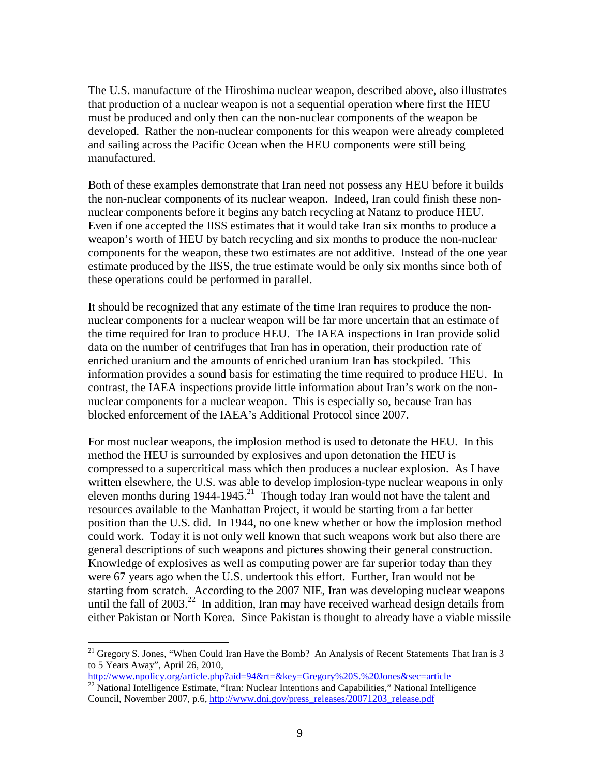The U.S. manufacture of the Hiroshima nuclear weapon, described above, also illustrates that production of a nuclear weapon is not a sequential operation where first the HEU must be produced and only then can the non-nuclear components of the weapon be developed. Rather the non-nuclear components for this weapon were already completed and sailing across the Pacific Ocean when the HEU components were still being manufactured.

Both of these examples demonstrate that Iran need not possess any HEU before it builds the non-nuclear components of its nuclear weapon. Indeed, Iran could finish these nonnuclear components before it begins any batch recycling at Natanz to produce HEU. Even if one accepted the IISS estimates that it would take Iran six months to produce a weapon's worth of HEU by batch recycling and six months to produce the non-nuclear components for the weapon, these two estimates are not additive. Instead of the one year estimate produced by the IISS, the true estimate would be only six months since both of these operations could be performed in parallel.

It should be recognized that any estimate of the time Iran requires to produce the nonnuclear components for a nuclear weapon will be far more uncertain that an estimate of the time required for Iran to produce HEU. The IAEA inspections in Iran provide solid data on the number of centrifuges that Iran has in operation, their production rate of enriched uranium and the amounts of enriched uranium Iran has stockpiled. This information provides a sound basis for estimating the time required to produce HEU. In contrast, the IAEA inspections provide little information about Iran's work on the nonnuclear components for a nuclear weapon. This is especially so, because Iran has blocked enforcement of the IAEA's Additional Protocol since 2007.

For most nuclear weapons, the implosion method is used to detonate the HEU. In this method the HEU is surrounded by explosives and upon detonation the HEU is compressed to a supercritical mass which then produces a nuclear explosion. As I have written elsewhere, the U.S. was able to develop implosion-type nuclear weapons in only eleven months during  $1944-1945$ <sup>21</sup> Though today Iran would not have the talent and resources available to the Manhattan Project, it would be starting from a far better position than the U.S. did. In 1944, no one knew whether or how the implosion method could work. Today it is not only well known that such weapons work but also there are general descriptions of such weapons and pictures showing their general construction. Knowledge of explosives as well as computing power are far superior today than they were 67 years ago when the U.S. undertook this effort. Further, Iran would not be starting from scratch. According to the 2007 NIE, Iran was developing nuclear weapons until the fall of  $2003<sup>22</sup>$  In addition, Iran may have received warhead design details from either Pakistan or North Korea. Since Pakistan is thought to already have a viable missile

 $\overline{a}$ 

<sup>&</sup>lt;sup>21</sup> Gregory S. Jones, "When Could Iran Have the Bomb? An Analysis of Recent Statements That Iran is 3 to 5 Years Away", April 26, 2010,

http://www.npolicy.org/article.php?aid=94&rt=&key=Gregory%20S.%20Jones&sec=article  $^{22}$  National Intelligence Estimate, "Iran: Nuclear Intentions and Capabilities," National Intelligence

Council, November 2007, p.6, http://www.dni.gov/press\_releases/20071203\_release.pdf